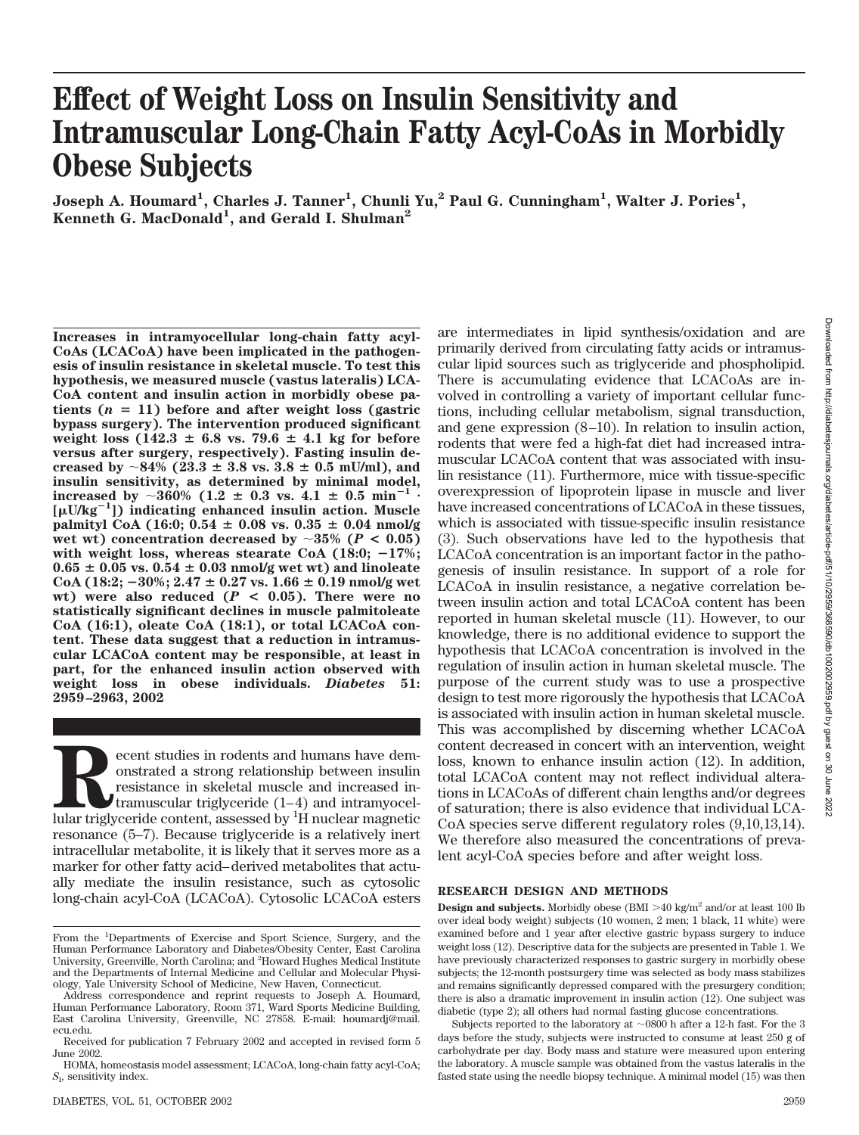# **Effect of Weight Loss on Insulin Sensitivity and Intramuscular Long-Chain Fatty Acyl-CoAs in Morbidly Obese Subjects**

 $J$ oseph A. Houmard<sup>1</sup>, Charles J. Tanner<sup>1</sup>, Chunli Yu,<sup>2</sup> Paul G. Cunningham<sup>1</sup>, Walter J. Pories<sup>1</sup>, Kenneth G. MacDonald<sup>1</sup>, and Gerald I. Shulman<sup>2</sup>

**Increases in intramyocellular long-chain fatty acyl-CoAs (LCACoA) have been implicated in the pathogenesis of insulin resistance in skeletal muscle. To test this hypothesis, we measured muscle (vastus lateralis) LCA-CoA content and insulin action in morbidly obese pa**tients  $(n = 11)$  before and after weight loss (gastric **bypass surgery). The intervention produced significant**  $weight \text{ loss } (142.3 \pm 6.8 \text{ vs. } 79.6 \pm 4.1 \text{ kg for before})$ **versus after surgery, respectively). Fasting insulin decreased by**  $\sim$  84% (23.3  $\pm$  3.8 vs. 3.8  $\pm$  0.5 mU/ml), and **insulin sensitivity, as determined by minimal model,**  $\frac{1}{2}$  increased by  $\sim 360\%$  (1.2  $\pm$  0.3 vs. 4.1  $\pm$  0.5 min<sup>-1</sup> **[U/kg<sup>1</sup> ]) indicating enhanced insulin action. Muscle**  $palmityl CoA (16:0; 0.54  $\pm$  0.08 vs. 0.35  $\pm$  0.04 nmol/g$ **wet wt) concentration decreased by**  $\sim 35\%$  ( $P < 0.05$ ) **with weight loss, whereas stearate CoA (18:0; 17%;**  $0.65 \pm 0.05$  vs.  $0.54 \pm 0.03$  nmol/g wet wt) and linoleate  $\text{CoA } (18:2; -30\%; 2.47 \pm 0.27 \text{ vs. } 1.66 \pm 0.19 \text{ nmol/g wet})$ wt) were also reduced  $(P < 0.05)$ . There were no **statistically significant declines in muscle palmitoleate CoA (16:1), oleate CoA (18:1), or total LCACoA content. These data suggest that a reduction in intramuscular LCACoA content may be responsible, at least in part, for the enhanced insulin action observed with weight loss in obese individuals.** *Diabetes* **51: 2959–2963, 2002**

**Recent studies in rodents and humans have dem-**<br>onstrated a strong relationship between insulin resistance in skeletal muscle and increased in-<br>tramuscular triglyceride (1–4) and intramyocel-<br>lular triglyceride content, a onstrated a strong relationship between insulin resistance in skeletal muscle and increased intramuscular triglyceride (1–4) and intramyocelresonance (5–7). Because triglyceride is a relatively inert intracellular metabolite, it is likely that it serves more as a marker for other fatty acid–derived metabolites that actually mediate the insulin resistance, such as cytosolic long-chain acyl-CoA (LCACoA). Cytosolic LCACoA esters are intermediates in lipid synthesis/oxidation and are primarily derived from circulating fatty acids or intramuscular lipid sources such as triglyceride and phospholipid. There is accumulating evidence that LCACoAs are involved in controlling a variety of important cellular functions, including cellular metabolism, signal transduction, and gene expression (8–10). In relation to insulin action, rodents that were fed a high-fat diet had increased intramuscular LCACoA content that was associated with insulin resistance (11). Furthermore, mice with tissue-specific overexpression of lipoprotein lipase in muscle and liver have increased concentrations of LCACoA in these tissues, which is associated with tissue-specific insulin resistance (3). Such observations have led to the hypothesis that LCACoA concentration is an important factor in the pathogenesis of insulin resistance. In support of a role for LCACoA in insulin resistance, a negative correlation between insulin action and total LCACoA content has been reported in human skeletal muscle (11). However, to our knowledge, there is no additional evidence to support the hypothesis that LCACoA concentration is involved in the regulation of insulin action in human skeletal muscle. The purpose of the current study was to use a prospective design to test more rigorously the hypothesis that LCACoA is associated with insulin action in human skeletal muscle. This was accomplished by discerning whether LCACoA content decreased in concert with an intervention, weight loss, known to enhance insulin action (12). In addition, total LCACoA content may not reflect individual alterations in LCACoAs of different chain lengths and/or degrees of saturation; there is also evidence that individual LCA-CoA species serve different regulatory roles (9,10,13,14). We therefore also measured the concentrations of prevalent acyl-CoA species before and after weight loss.

#### **RESEARCH DESIGN AND METHODS**

**Design and subjects.** Morbidly obese (BMI >40 kg/m<sup>2</sup> and/or at least 100 lb over ideal body weight) subjects (10 women, 2 men; 1 black, 11 white) were examined before and 1 year after elective gastric bypass surgery to induce weight loss (12). Descriptive data for the subjects are presented in Table 1. We have previously characterized responses to gastric surgery in morbidly obese subjects; the 12-month postsurgery time was selected as body mass stabilizes and remains significantly depressed compared with the presurgery condition; there is also a dramatic improvement in insulin action (12). One subject was diabetic (type 2); all others had normal fasting glucose concentrations.

Subjects reported to the laboratory at  $\sim 0800$  h after a 12-h fast. For the 3 days before the study, subjects were instructed to consume at least 250 g of carbohydrate per day. Body mass and stature were measured upon entering the laboratory. A muscle sample was obtained from the vastus lateralis in the fasted state using the needle biopsy technique. A minimal model (15) was then

From the <sup>1</sup>Departments of Exercise and Sport Science, Surgery, and the Human Performance Laboratory and Diabetes/Obesity Center, East Carolina University, Greenville, North Carolina; and <sup>2</sup>Howard Hughes Medical Institute and the Departments of Internal Medicine and Cellular and Molecular Physiology, Yale University School of Medicine, New Haven, Connecticut.

Address correspondence and reprint requests to Joseph A. Houmard, Human Performance Laboratory, Room 371, Ward Sports Medicine Building, East Carolina University, Greenville, NC 27858. E-mail: houmardj@mail. ecu.edu.

Received for publication 7 February 2002 and accepted in revised form 5 June 2002.

HOMA, homeostasis model assessment; LCACoA, long-chain fatty acyl-CoA; *S*I , sensitivity index.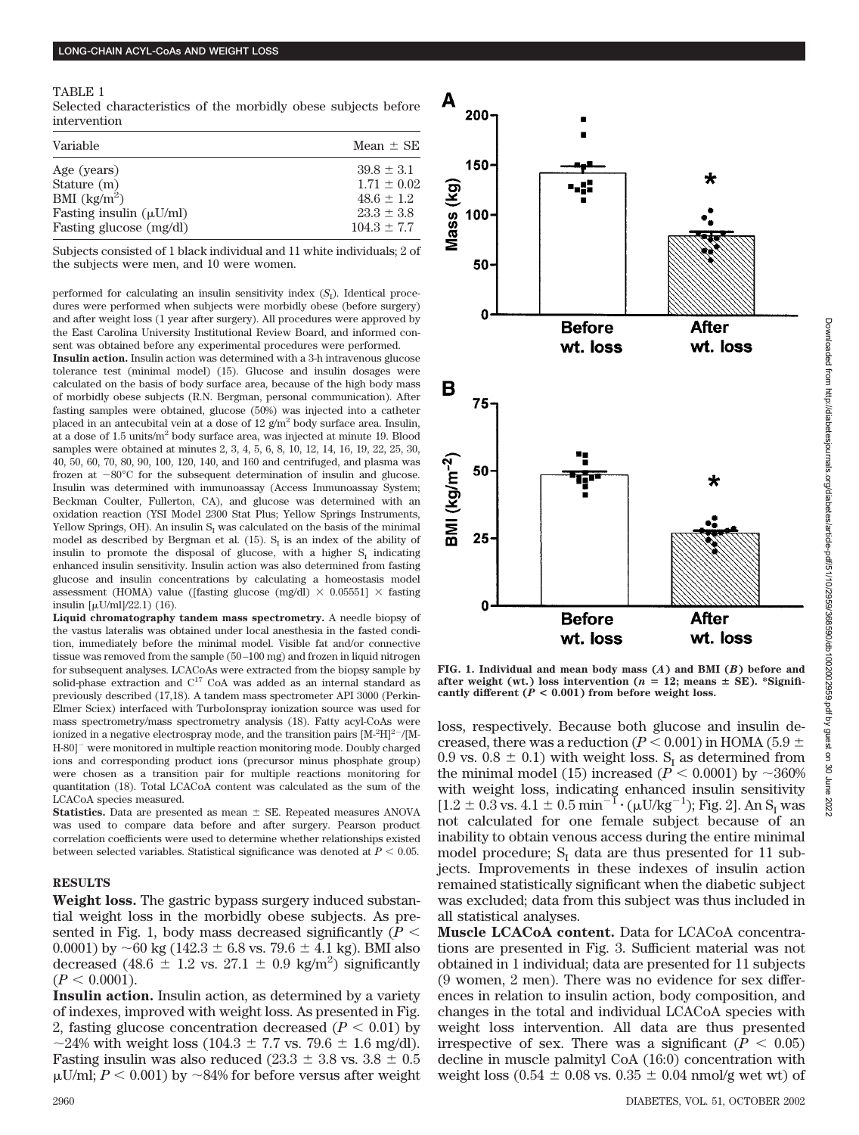TABLE 1

Selected characteristics of the morbidly obese subjects before intervention

| Variable                          | Mean $\pm$ SE   |
|-----------------------------------|-----------------|
| Age (years)                       | $39.8 \pm 3.1$  |
| Stature (m)                       | $1.71 \pm 0.02$ |
| BMI $\left(\frac{kg}{m^2}\right)$ | $48.6 \pm 1.2$  |
| Fasting insulin $(\mu U/ml)$      | $23.3 \pm 3.8$  |
| Fasting glucose (mg/dl)           | $104.3 \pm 7.7$ |

Subjects consisted of 1 black individual and 11 white individuals; 2 of the subjects were men, and 10 were women.

performed for calculating an insulin sensitivity index  $(S_1)$ . Identical procedures were performed when subjects were morbidly obese (before surgery) and after weight loss (1 year after surgery). All procedures were approved by the East Carolina University Institutional Review Board, and informed consent was obtained before any experimental procedures were performed.

**Insulin action.** Insulin action was determined with a 3-h intravenous glucose tolerance test (minimal model) (15). Glucose and insulin dosages were calculated on the basis of body surface area, because of the high body mass of morbidly obese subjects (R.N. Bergman, personal communication). After fasting samples were obtained, glucose (50%) was injected into a catheter placed in an antecubital vein at a dose of 12  $g/m^2$  body surface area. Insulin, at a dose of  $1.5$  units/ $m<sup>2</sup>$  body surface area, was injected at minute 19. Blood samples were obtained at minutes 2, 3, 4, 5, 6, 8, 10, 12, 14, 16, 19, 22, 25, 30, 40, 50, 60, 70, 80, 90, 100, 120, 140, and 160 and centrifuged, and plasma was frozen at  $-80^{\circ}$ C for the subsequent determination of insulin and glucose. Insulin was determined with immunoassay (Access Immunoassay System; Beckman Coulter, Fullerton, CA), and glucose was determined with an oxidation reaction (YSI Model 2300 Stat Plus; Yellow Springs Instruments, Yellow Springs, OH). An insulin  $S<sub>I</sub>$  was calculated on the basis of the minimal model as described by Bergman et al. (15).  $S<sub>r</sub>$  is an index of the ability of insulin to promote the disposal of glucose, with a higher  $S_I$  indicating enhanced insulin sensitivity. Insulin action was also determined from fasting glucose and insulin concentrations by calculating a homeostasis model assessment (HOMA) value ([fasting glucose (mg/dl)  $\times$  0.05551]  $\times$  fasting insulin  $[\mu U/ml]/22.1$  (16).

**Liquid chromatography tandem mass spectrometry.** A needle biopsy of the vastus lateralis was obtained under local anesthesia in the fasted condition, immediately before the minimal model. Visible fat and/or connective tissue was removed from the sample (50–100 mg) and frozen in liquid nitrogen for subsequent analyses. LCACoAs were extracted from the biopsy sample by solid-phase extraction and C<sup>17</sup> CoA was added as an internal standard as previously described (17,18). A tandem mass spectrometer API 3000 (Perkin-Elmer Sciex) interfaced with TurboIonspray ionization source was used for mass spectrometry/mass spectrometry analysis (18). Fatty acyl-CoAs were ionized in a negative electrospray mode, and the transition pairs  $[M^2H]^{2-}/[M^2]$ H-80]<sup>-</sup> were monitored in multiple reaction monitoring mode. Doubly charged ions and corresponding product ions (precursor minus phosphate group) were chosen as a transition pair for multiple reactions monitoring for quantitation (18). Total LCACoA content was calculated as the sum of the LCACoA species measured.

**Statistics.** Data are presented as mean  $\pm$  SE. Repeated measures ANOVA was used to compare data before and after surgery. Pearson product correlation coefficients were used to determine whether relationships existed between selected variables. Statistical significance was denoted at  $P < 0.05$ .

### **RESULTS**

**Weight loss.** The gastric bypass surgery induced substantial weight loss in the morbidly obese subjects. As presented in Fig. 1, body mass decreased significantly  $(P \leq$ 0.0001) by  $\sim$  60 kg (142.3  $\pm$  6.8 vs. 79.6  $\pm$  4.1 kg). BMI also decreased (48.6  $\pm$  1.2 vs. 27.1  $\pm$  0.9 kg/m<sup>2</sup>) significantly  $(P < 0.0001)$ .

**Insulin action.** Insulin action, as determined by a variety of indexes, improved with weight loss. As presented in Fig. 2, fasting glucose concentration decreased  $(P < 0.01)$  by ~24% with weight loss (104.3  $\pm$  7.7 vs. 79.6  $\pm$  1.6 mg/dl). Fasting insulin was also reduced (23.3  $\pm$  3.8 vs. 3.8  $\pm$  0.5  $\mu$ U/ml;  $P < 0.001$ ) by  $\sim$  84% for before versus after weight



**FIG. 1. Individual and mean body mass (***A***) and BMI (***B***) before and** after weight (wt.) loss intervention ( $n = 12$ ; means  $\pm$  SE). \*Significantly different  $(P < 0.001)$  from before weight loss.

loss, respectively. Because both glucose and insulin decreased, there was a reduction ( $P < 0.001$ ) in HOMA (5.9  $\pm$ 0.9 vs. 0.8  $\pm$  0.1) with weight loss. S<sub>I</sub> as determined from the minimal model (15) increased ( $\dot{P}$  < 0.0001) by ~360% with weight loss, indicating enhanced insulin sensitivity  $[1.2 \pm 0.3 \text{ vs. } 4.1 \pm 0.5 \text{ min}^{-1} \cdot (\mu U/kg^{-1})$ ; Fig. 2]. An S<sub>I</sub> was not calculated for one female subject because of an inability to obtain venous access during the entire minimal model procedure;  $S_I$  data are thus presented for 11 subjects. Improvements in these indexes of insulin action remained statistically significant when the diabetic subject was excluded; data from this subject was thus included in all statistical analyses.

**Muscle LCACoA content.** Data for LCACoA concentrations are presented in Fig. 3. Sufficient material was not obtained in 1 individual; data are presented for 11 subjects (9 women, 2 men). There was no evidence for sex differences in relation to insulin action, body composition, and changes in the total and individual LCACoA species with weight loss intervention. All data are thus presented irrespective of sex. There was a significant  $(P < 0.05)$ decline in muscle palmityl CoA (16:0) concentration with weight loss (0.54  $\pm$  0.08 vs. 0.35  $\pm$  0.04 nmol/g wet wt) of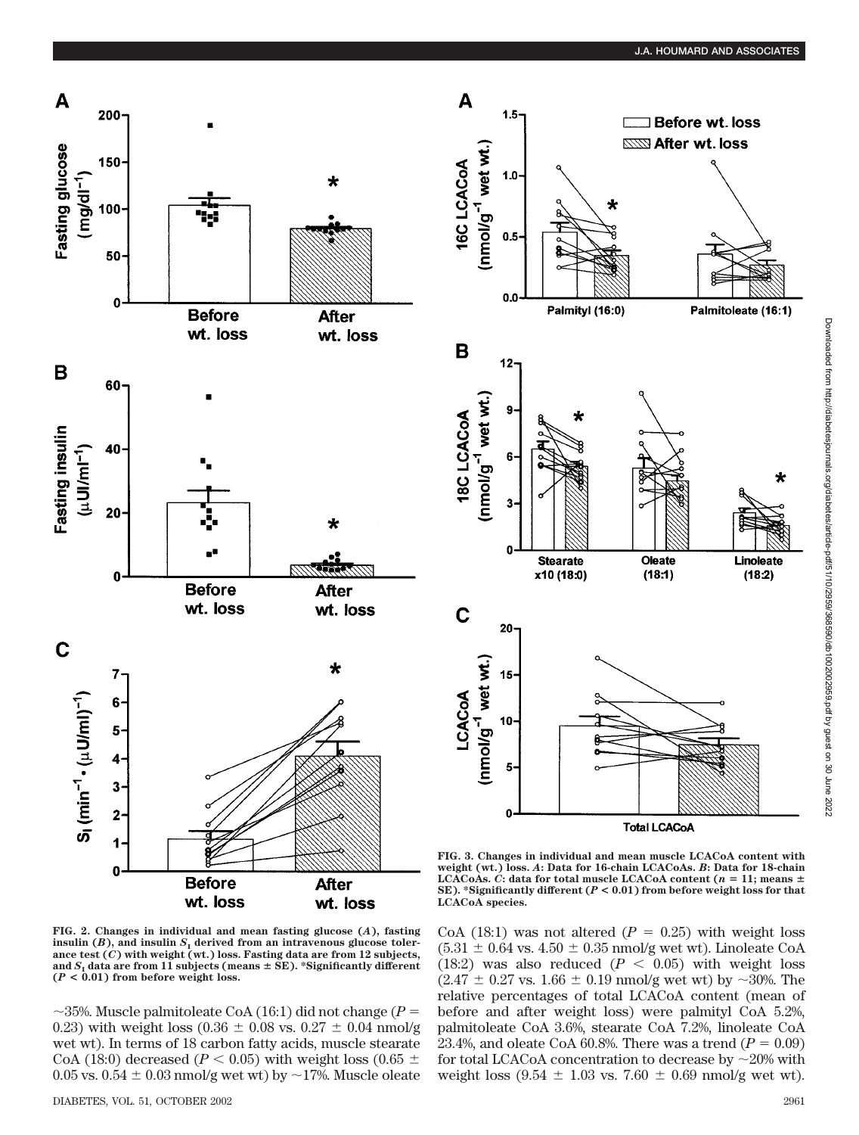

**Linoleate** 

 $(18:2)$ 

**FIG. 2. Changes in individual and mean fasting glucose (***A***), fasting** insulin  $(B)$ , and insulin  $S<sub>I</sub>$  derived from an intravenous glucose toler**ance test (***C***) with weight (wt.) loss. Fasting data are from 12 subjects,** and  $S$ <sub>I</sub> data are from 11 subjects (means  $\pm$  SE). \*Significantly different **(***P* **< 0.01) from before weight loss.**

 $\sim$ 35%. Muscle palmitoleate CoA (16:1) did not change (*P* = 0.23) with weight loss (0.36  $\pm$  0.08 vs. 0.27  $\pm$  0.04 nmol/g wet wt). In terms of 18 carbon fatty acids, muscle stearate CoA (18:0) decreased ( $P < 0.05$ ) with weight loss (0.65  $\pm$ 0.05 vs. 0.54  $\pm$  0.03 nmol/g wet wt) by  $\sim$ 17%. Muscle oleate CoA (18:1) was not altered ( $P = 0.25$ ) with weight loss  $(5.31 \pm 0.64 \text{ vs. } 4.50 \pm 0.35 \text{ nmol/g wet wt}).$  Linoleate CoA (18:2) was also reduced  $(P < 0.05)$  with weight loss  $(2.47 \pm 0.27 \text{ vs. } 1.66 \pm 0.19 \text{ nmol/g wet wt})$  by  $\sim$ 30%. The relative percentages of total LCACoA content (mean of before and after weight loss) were palmityl CoA 5.2%, palmitoleate CoA 3.6%, stearate CoA 7.2%, linoleate CoA 23.4%, and oleate CoA 60.8%. There was a trend  $(P = 0.09)$ for total LCACoA concentration to decrease by  $\sim$ 20% with weight loss  $(9.54 \pm 1.03 \text{ vs. } 7.60 \pm 0.69 \text{ nmol/g wet wt}).$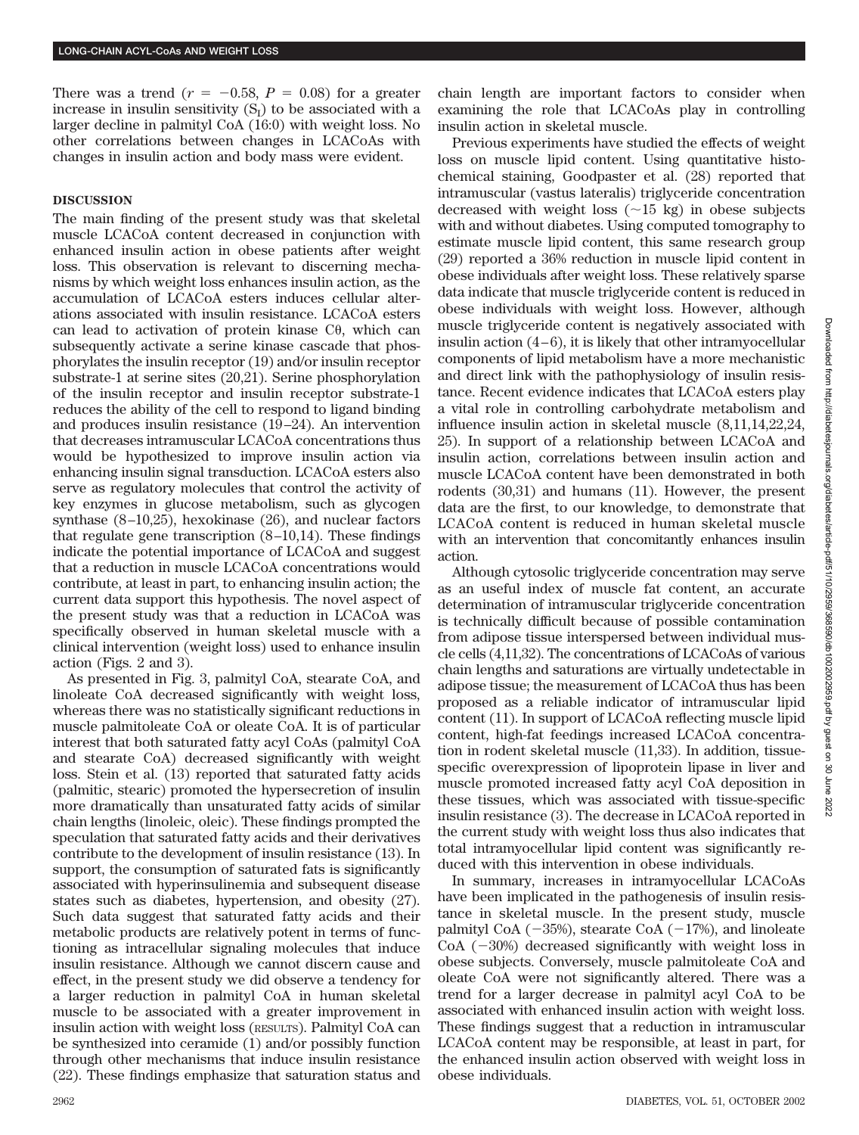There was a trend  $(r = -0.58, P = 0.08)$  for a greater increase in insulin sensitivity  $(S_I)$  to be associated with a larger decline in palmityl CoA (16:0) with weight loss. No other correlations between changes in LCACoAs with changes in insulin action and body mass were evident.

## **DISCUSSION**

The main finding of the present study was that skeletal muscle LCACoA content decreased in conjunction with enhanced insulin action in obese patients after weight loss. This observation is relevant to discerning mechanisms by which weight loss enhances insulin action, as the accumulation of LCACoA esters induces cellular alterations associated with insulin resistance. LCACoA esters can lead to activation of protein kinase  $C\theta$ , which can subsequently activate a serine kinase cascade that phosphorylates the insulin receptor (19) and/or insulin receptor substrate-1 at serine sites (20,21). Serine phosphorylation of the insulin receptor and insulin receptor substrate-1 reduces the ability of the cell to respond to ligand binding and produces insulin resistance (19–24). An intervention that decreases intramuscular LCACoA concentrations thus would be hypothesized to improve insulin action via enhancing insulin signal transduction. LCACoA esters also serve as regulatory molecules that control the activity of key enzymes in glucose metabolism, such as glycogen synthase (8–10,25), hexokinase (26), and nuclear factors that regulate gene transcription (8–10,14). These findings indicate the potential importance of LCACoA and suggest that a reduction in muscle LCACoA concentrations would contribute, at least in part, to enhancing insulin action; the current data support this hypothesis. The novel aspect of the present study was that a reduction in LCACoA was specifically observed in human skeletal muscle with a clinical intervention (weight loss) used to enhance insulin action (Figs. 2 and 3).

As presented in Fig. 3, palmityl CoA, stearate CoA, and linoleate CoA decreased significantly with weight loss, whereas there was no statistically significant reductions in muscle palmitoleate CoA or oleate CoA. It is of particular interest that both saturated fatty acyl CoAs (palmityl CoA and stearate CoA) decreased significantly with weight loss. Stein et al. (13) reported that saturated fatty acids (palmitic, stearic) promoted the hypersecretion of insulin more dramatically than unsaturated fatty acids of similar chain lengths (linoleic, oleic). These findings prompted the speculation that saturated fatty acids and their derivatives contribute to the development of insulin resistance (13). In support, the consumption of saturated fats is significantly associated with hyperinsulinemia and subsequent disease states such as diabetes, hypertension, and obesity (27). Such data suggest that saturated fatty acids and their metabolic products are relatively potent in terms of functioning as intracellular signaling molecules that induce insulin resistance. Although we cannot discern cause and effect, in the present study we did observe a tendency for a larger reduction in palmityl CoA in human skeletal muscle to be associated with a greater improvement in insulin action with weight loss (RESULTS). Palmityl CoA can be synthesized into ceramide (1) and/or possibly function through other mechanisms that induce insulin resistance (22). These findings emphasize that saturation status and chain length are important factors to consider when examining the role that LCACoAs play in controlling insulin action in skeletal muscle.

Previous experiments have studied the effects of weight loss on muscle lipid content. Using quantitative histochemical staining, Goodpaster et al. (28) reported that intramuscular (vastus lateralis) triglyceride concentration decreased with weight loss  $(\sim 15 \text{ kg})$  in obese subjects with and without diabetes. Using computed tomography to estimate muscle lipid content, this same research group (29) reported a 36% reduction in muscle lipid content in obese individuals after weight loss. These relatively sparse data indicate that muscle triglyceride content is reduced in obese individuals with weight loss. However, although muscle triglyceride content is negatively associated with insulin action  $(4-6)$ , it is likely that other intramy occllular components of lipid metabolism have a more mechanistic and direct link with the pathophysiology of insulin resistance. Recent evidence indicates that LCACoA esters play a vital role in controlling carbohydrate metabolism and influence insulin action in skeletal muscle (8,11,14,22,24, 25). In support of a relationship between LCACoA and insulin action, correlations between insulin action and muscle LCACoA content have been demonstrated in both rodents (30,31) and humans (11). However, the present data are the first, to our knowledge, to demonstrate that LCACoA content is reduced in human skeletal muscle with an intervention that concomitantly enhances insulin action.

Although cytosolic triglyceride concentration may serve as an useful index of muscle fat content, an accurate determination of intramuscular triglyceride concentration is technically difficult because of possible contamination from adipose tissue interspersed between individual muscle cells (4,11,32). The concentrations of LCACoAs of various chain lengths and saturations are virtually undetectable in adipose tissue; the measurement of LCACoA thus has been proposed as a reliable indicator of intramuscular lipid content (11). In support of LCACoA reflecting muscle lipid content, high-fat feedings increased LCACoA concentration in rodent skeletal muscle (11,33). In addition, tissuespecific overexpression of lipoprotein lipase in liver and muscle promoted increased fatty acyl CoA deposition in these tissues, which was associated with tissue-specific insulin resistance (3). The decrease in LCACoA reported in the current study with weight loss thus also indicates that total intramyocellular lipid content was significantly reduced with this intervention in obese individuals.

In summary, increases in intramyocellular LCACoAs have been implicated in the pathogenesis of insulin resistance in skeletal muscle. In the present study, muscle palmityl CoA  $(-35%)$ , stearate CoA  $(-17%)$ , and linoleate  $CoA$  ( $-30\%$ ) decreased significantly with weight loss in obese subjects. Conversely, muscle palmitoleate CoA and oleate CoA were not significantly altered. There was a trend for a larger decrease in palmityl acyl CoA to be associated with enhanced insulin action with weight loss. These findings suggest that a reduction in intramuscular LCACoA content may be responsible, at least in part, for the enhanced insulin action observed with weight loss in obese individuals.